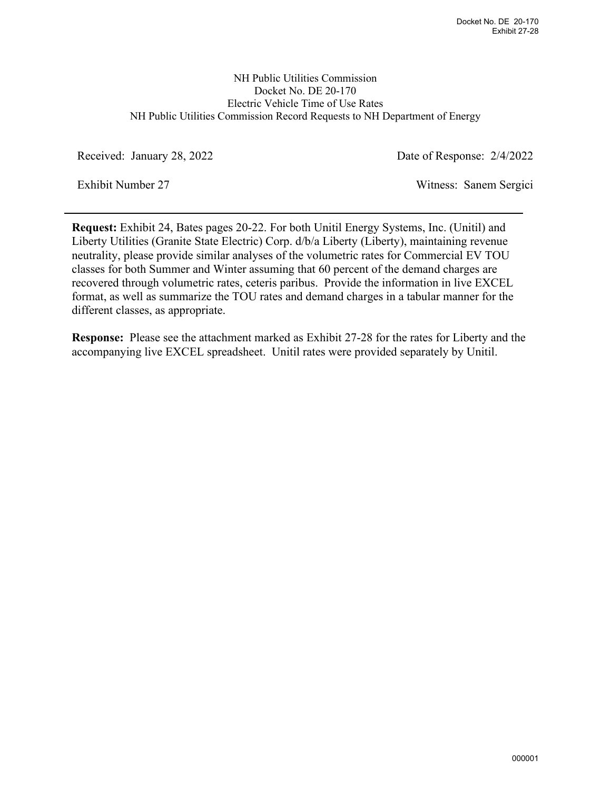## NH Public Utilities Commission Docket No. DE 20-170 Electric Vehicle Time of Use Rates NH Public Utilities Commission Record Requests to NH Department of Energy

Received: January 28, 2022 Date of Response: 2/4/2022

Exhibit Number 27 Witness: Sanem Sergici

**Request:** Exhibit 24, Bates pages 20-22. For both Unitil Energy Systems, Inc. (Unitil) and Liberty Utilities (Granite State Electric) Corp. d/b/a Liberty (Liberty), maintaining revenue neutrality, please provide similar analyses of the volumetric rates for Commercial EV TOU classes for both Summer and Winter assuming that 60 percent of the demand charges are recovered through volumetric rates, ceteris paribus. Provide the information in live EXCEL format, as well as summarize the TOU rates and demand charges in a tabular manner for the different classes, as appropriate.

**Response:** Please see the attachment marked as Exhibit 27-28 for the rates for Liberty and the accompanying live EXCEL spreadsheet. Unitil rates were provided separately by Unitil.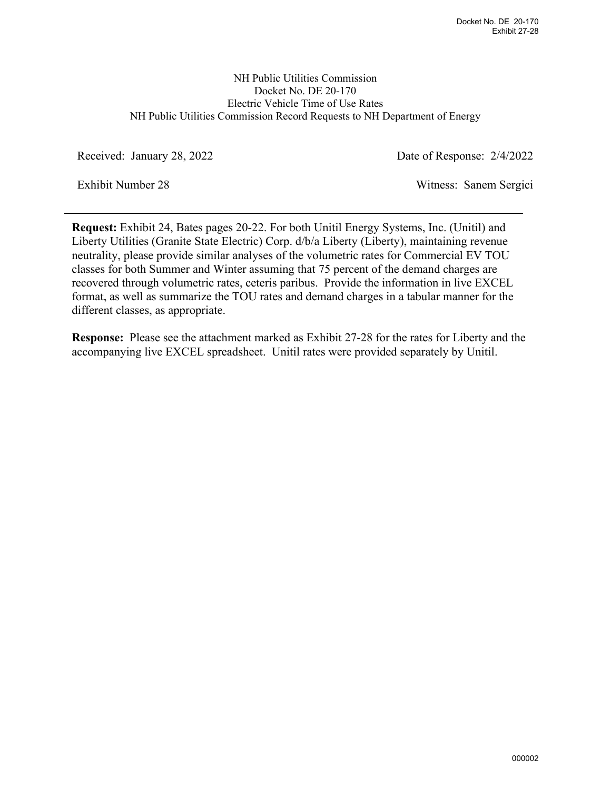## NH Public Utilities Commission Docket No. DE 20-170 Electric Vehicle Time of Use Rates NH Public Utilities Commission Record Requests to NH Department of Energy

Received: January 28, 2022 Date of Response: 2/4/2022

Exhibit Number 28 Witness: Sanem Sergici

**Request:** Exhibit 24, Bates pages 20-22. For both Unitil Energy Systems, Inc. (Unitil) and Liberty Utilities (Granite State Electric) Corp. d/b/a Liberty (Liberty), maintaining revenue neutrality, please provide similar analyses of the volumetric rates for Commercial EV TOU classes for both Summer and Winter assuming that 75 percent of the demand charges are recovered through volumetric rates, ceteris paribus. Provide the information in live EXCEL format, as well as summarize the TOU rates and demand charges in a tabular manner for the different classes, as appropriate.

**Response:** Please see the attachment marked as Exhibit 27-28 for the rates for Liberty and the accompanying live EXCEL spreadsheet. Unitil rates were provided separately by Unitil.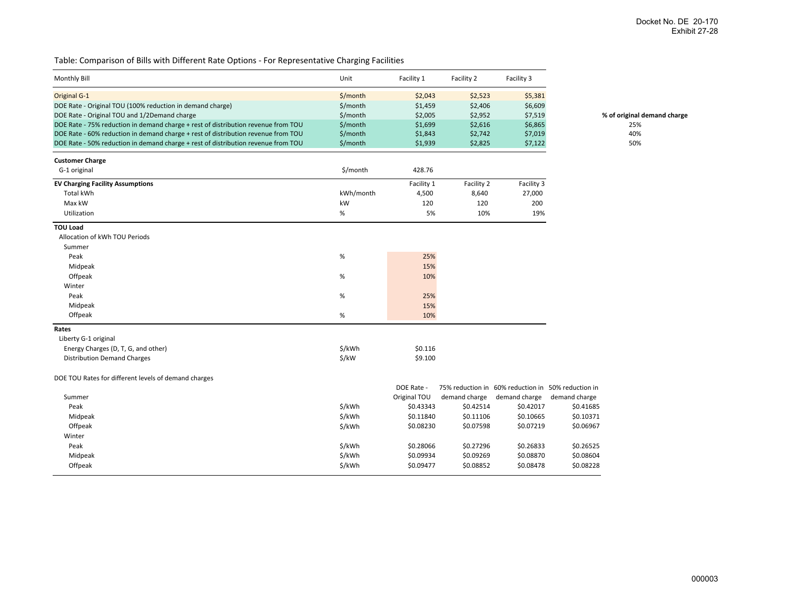$%$  of original demand charge

Table: Comparison of Bills with Different Rate Options ‐ For Representative Charging Facilities

| \$/month<br><b>Original G-1</b><br>\$2,043<br>\$2,523<br>\$5,381<br>DOE Rate - Original TOU (100% reduction in demand charge)<br>\$/month<br>\$1,459<br>\$2,406<br>\$6,609<br>DOE Rate - Original TOU and 1/2Demand charge<br>\$/month<br>\$2,005<br>\$2,952<br>\$7,519<br>% of original<br>\$1,699<br>\$6,865<br>DOE Rate - 75% reduction in demand charge + rest of distribution revenue from TOU<br>\$/month<br>\$2,616<br>\$/month<br>\$7,019<br>DOE Rate - 60% reduction in demand charge + rest of distribution revenue from TOU<br>\$1,843<br>\$2,742<br>\$/month<br>DOE Rate - 50% reduction in demand charge + rest of distribution revenue from TOU<br>\$1,939<br>\$2,825<br>\$7,122<br><b>Customer Charge</b><br>\$/month<br>G-1 original<br>428.76<br><b>EV Charging Facility Assumptions</b><br>Facility 1<br>Facility 2<br>Facility 3<br>kWh/month<br>27,000<br>Total kWh<br>4,500<br>8,640<br>Max kW<br>kW<br>120<br>120<br>200<br>%<br>5%<br>10%<br>19%<br>Utilization<br><b>TOU Load</b><br>Allocation of kWh TOU Periods<br>Summer<br>Peak<br>%<br>25%<br>15%<br>Midpeak<br>10%<br>Offpeak<br>%<br>Winter<br>Peak<br>%<br>25%<br>15%<br>Midpeak<br>Offpeak<br>%<br>10%<br>Rates<br>Liberty G-1 original<br>\$/kWh<br>Energy Charges (D, T, G, and other)<br>\$0.116<br>\$/kW<br>\$9.100<br><b>Distribution Demand Charges</b><br>DOE TOU Rates for different levels of demand charges<br>DOE Rate -<br>75% reduction in 60% reduction in 50% reduction in<br>Summer<br>Original TOU<br>demand charge<br>demand charge<br>demand charge<br>\$/kWh<br>\$0.43343<br>\$0.42514<br>\$0.42017<br>Peak<br>\$0.41685<br>\$/kWh<br>\$0.11840<br>\$0.11106<br>\$0.10665<br>\$0.10371<br>Midpeak<br>Offpeak<br>\$/kWh<br>\$0.08230<br>\$0.07598<br>\$0.07219<br>\$0.06967<br>Winter<br>Peak<br>\$/kWh<br>\$0.28066<br>\$0.27296<br>\$0.26525<br>\$0.26833<br>\$/kWh<br>\$0.09934<br>\$0.09269<br>\$0.08870<br>\$0.08604<br>Midpeak<br>\$0.08852<br>\$0.08228<br>Offpeak<br>\$/kWh<br>\$0.09477<br>\$0.08478 | <b>Monthly Bill</b> | Unit | Facility 1 | Facility 2 | Facility 3 |  |
|--------------------------------------------------------------------------------------------------------------------------------------------------------------------------------------------------------------------------------------------------------------------------------------------------------------------------------------------------------------------------------------------------------------------------------------------------------------------------------------------------------------------------------------------------------------------------------------------------------------------------------------------------------------------------------------------------------------------------------------------------------------------------------------------------------------------------------------------------------------------------------------------------------------------------------------------------------------------------------------------------------------------------------------------------------------------------------------------------------------------------------------------------------------------------------------------------------------------------------------------------------------------------------------------------------------------------------------------------------------------------------------------------------------------------------------------------------------------------------------------------------------------------------------------------------------------------------------------------------------------------------------------------------------------------------------------------------------------------------------------------------------------------------------------------------------------------------------------------------------------------------------------------------------------------------------------------------------------------------------------------------------------|---------------------|------|------------|------------|------------|--|
|                                                                                                                                                                                                                                                                                                                                                                                                                                                                                                                                                                                                                                                                                                                                                                                                                                                                                                                                                                                                                                                                                                                                                                                                                                                                                                                                                                                                                                                                                                                                                                                                                                                                                                                                                                                                                                                                                                                                                                                                                    |                     |      |            |            |            |  |
|                                                                                                                                                                                                                                                                                                                                                                                                                                                                                                                                                                                                                                                                                                                                                                                                                                                                                                                                                                                                                                                                                                                                                                                                                                                                                                                                                                                                                                                                                                                                                                                                                                                                                                                                                                                                                                                                                                                                                                                                                    |                     |      |            |            |            |  |
| 25%<br>40%<br>50%                                                                                                                                                                                                                                                                                                                                                                                                                                                                                                                                                                                                                                                                                                                                                                                                                                                                                                                                                                                                                                                                                                                                                                                                                                                                                                                                                                                                                                                                                                                                                                                                                                                                                                                                                                                                                                                                                                                                                                                                  |                     |      |            |            |            |  |
|                                                                                                                                                                                                                                                                                                                                                                                                                                                                                                                                                                                                                                                                                                                                                                                                                                                                                                                                                                                                                                                                                                                                                                                                                                                                                                                                                                                                                                                                                                                                                                                                                                                                                                                                                                                                                                                                                                                                                                                                                    |                     |      |            |            |            |  |
|                                                                                                                                                                                                                                                                                                                                                                                                                                                                                                                                                                                                                                                                                                                                                                                                                                                                                                                                                                                                                                                                                                                                                                                                                                                                                                                                                                                                                                                                                                                                                                                                                                                                                                                                                                                                                                                                                                                                                                                                                    |                     |      |            |            |            |  |
|                                                                                                                                                                                                                                                                                                                                                                                                                                                                                                                                                                                                                                                                                                                                                                                                                                                                                                                                                                                                                                                                                                                                                                                                                                                                                                                                                                                                                                                                                                                                                                                                                                                                                                                                                                                                                                                                                                                                                                                                                    |                     |      |            |            |            |  |
|                                                                                                                                                                                                                                                                                                                                                                                                                                                                                                                                                                                                                                                                                                                                                                                                                                                                                                                                                                                                                                                                                                                                                                                                                                                                                                                                                                                                                                                                                                                                                                                                                                                                                                                                                                                                                                                                                                                                                                                                                    |                     |      |            |            |            |  |
|                                                                                                                                                                                                                                                                                                                                                                                                                                                                                                                                                                                                                                                                                                                                                                                                                                                                                                                                                                                                                                                                                                                                                                                                                                                                                                                                                                                                                                                                                                                                                                                                                                                                                                                                                                                                                                                                                                                                                                                                                    |                     |      |            |            |            |  |
|                                                                                                                                                                                                                                                                                                                                                                                                                                                                                                                                                                                                                                                                                                                                                                                                                                                                                                                                                                                                                                                                                                                                                                                                                                                                                                                                                                                                                                                                                                                                                                                                                                                                                                                                                                                                                                                                                                                                                                                                                    |                     |      |            |            |            |  |
|                                                                                                                                                                                                                                                                                                                                                                                                                                                                                                                                                                                                                                                                                                                                                                                                                                                                                                                                                                                                                                                                                                                                                                                                                                                                                                                                                                                                                                                                                                                                                                                                                                                                                                                                                                                                                                                                                                                                                                                                                    |                     |      |            |            |            |  |
|                                                                                                                                                                                                                                                                                                                                                                                                                                                                                                                                                                                                                                                                                                                                                                                                                                                                                                                                                                                                                                                                                                                                                                                                                                                                                                                                                                                                                                                                                                                                                                                                                                                                                                                                                                                                                                                                                                                                                                                                                    |                     |      |            |            |            |  |
|                                                                                                                                                                                                                                                                                                                                                                                                                                                                                                                                                                                                                                                                                                                                                                                                                                                                                                                                                                                                                                                                                                                                                                                                                                                                                                                                                                                                                                                                                                                                                                                                                                                                                                                                                                                                                                                                                                                                                                                                                    |                     |      |            |            |            |  |
|                                                                                                                                                                                                                                                                                                                                                                                                                                                                                                                                                                                                                                                                                                                                                                                                                                                                                                                                                                                                                                                                                                                                                                                                                                                                                                                                                                                                                                                                                                                                                                                                                                                                                                                                                                                                                                                                                                                                                                                                                    |                     |      |            |            |            |  |
|                                                                                                                                                                                                                                                                                                                                                                                                                                                                                                                                                                                                                                                                                                                                                                                                                                                                                                                                                                                                                                                                                                                                                                                                                                                                                                                                                                                                                                                                                                                                                                                                                                                                                                                                                                                                                                                                                                                                                                                                                    |                     |      |            |            |            |  |
|                                                                                                                                                                                                                                                                                                                                                                                                                                                                                                                                                                                                                                                                                                                                                                                                                                                                                                                                                                                                                                                                                                                                                                                                                                                                                                                                                                                                                                                                                                                                                                                                                                                                                                                                                                                                                                                                                                                                                                                                                    |                     |      |            |            |            |  |
|                                                                                                                                                                                                                                                                                                                                                                                                                                                                                                                                                                                                                                                                                                                                                                                                                                                                                                                                                                                                                                                                                                                                                                                                                                                                                                                                                                                                                                                                                                                                                                                                                                                                                                                                                                                                                                                                                                                                                                                                                    |                     |      |            |            |            |  |
|                                                                                                                                                                                                                                                                                                                                                                                                                                                                                                                                                                                                                                                                                                                                                                                                                                                                                                                                                                                                                                                                                                                                                                                                                                                                                                                                                                                                                                                                                                                                                                                                                                                                                                                                                                                                                                                                                                                                                                                                                    |                     |      |            |            |            |  |
|                                                                                                                                                                                                                                                                                                                                                                                                                                                                                                                                                                                                                                                                                                                                                                                                                                                                                                                                                                                                                                                                                                                                                                                                                                                                                                                                                                                                                                                                                                                                                                                                                                                                                                                                                                                                                                                                                                                                                                                                                    |                     |      |            |            |            |  |
|                                                                                                                                                                                                                                                                                                                                                                                                                                                                                                                                                                                                                                                                                                                                                                                                                                                                                                                                                                                                                                                                                                                                                                                                                                                                                                                                                                                                                                                                                                                                                                                                                                                                                                                                                                                                                                                                                                                                                                                                                    |                     |      |            |            |            |  |
|                                                                                                                                                                                                                                                                                                                                                                                                                                                                                                                                                                                                                                                                                                                                                                                                                                                                                                                                                                                                                                                                                                                                                                                                                                                                                                                                                                                                                                                                                                                                                                                                                                                                                                                                                                                                                                                                                                                                                                                                                    |                     |      |            |            |            |  |
|                                                                                                                                                                                                                                                                                                                                                                                                                                                                                                                                                                                                                                                                                                                                                                                                                                                                                                                                                                                                                                                                                                                                                                                                                                                                                                                                                                                                                                                                                                                                                                                                                                                                                                                                                                                                                                                                                                                                                                                                                    |                     |      |            |            |            |  |
|                                                                                                                                                                                                                                                                                                                                                                                                                                                                                                                                                                                                                                                                                                                                                                                                                                                                                                                                                                                                                                                                                                                                                                                                                                                                                                                                                                                                                                                                                                                                                                                                                                                                                                                                                                                                                                                                                                                                                                                                                    |                     |      |            |            |            |  |
|                                                                                                                                                                                                                                                                                                                                                                                                                                                                                                                                                                                                                                                                                                                                                                                                                                                                                                                                                                                                                                                                                                                                                                                                                                                                                                                                                                                                                                                                                                                                                                                                                                                                                                                                                                                                                                                                                                                                                                                                                    |                     |      |            |            |            |  |
|                                                                                                                                                                                                                                                                                                                                                                                                                                                                                                                                                                                                                                                                                                                                                                                                                                                                                                                                                                                                                                                                                                                                                                                                                                                                                                                                                                                                                                                                                                                                                                                                                                                                                                                                                                                                                                                                                                                                                                                                                    |                     |      |            |            |            |  |
|                                                                                                                                                                                                                                                                                                                                                                                                                                                                                                                                                                                                                                                                                                                                                                                                                                                                                                                                                                                                                                                                                                                                                                                                                                                                                                                                                                                                                                                                                                                                                                                                                                                                                                                                                                                                                                                                                                                                                                                                                    |                     |      |            |            |            |  |
|                                                                                                                                                                                                                                                                                                                                                                                                                                                                                                                                                                                                                                                                                                                                                                                                                                                                                                                                                                                                                                                                                                                                                                                                                                                                                                                                                                                                                                                                                                                                                                                                                                                                                                                                                                                                                                                                                                                                                                                                                    |                     |      |            |            |            |  |
|                                                                                                                                                                                                                                                                                                                                                                                                                                                                                                                                                                                                                                                                                                                                                                                                                                                                                                                                                                                                                                                                                                                                                                                                                                                                                                                                                                                                                                                                                                                                                                                                                                                                                                                                                                                                                                                                                                                                                                                                                    |                     |      |            |            |            |  |
|                                                                                                                                                                                                                                                                                                                                                                                                                                                                                                                                                                                                                                                                                                                                                                                                                                                                                                                                                                                                                                                                                                                                                                                                                                                                                                                                                                                                                                                                                                                                                                                                                                                                                                                                                                                                                                                                                                                                                                                                                    |                     |      |            |            |            |  |
|                                                                                                                                                                                                                                                                                                                                                                                                                                                                                                                                                                                                                                                                                                                                                                                                                                                                                                                                                                                                                                                                                                                                                                                                                                                                                                                                                                                                                                                                                                                                                                                                                                                                                                                                                                                                                                                                                                                                                                                                                    |                     |      |            |            |            |  |
|                                                                                                                                                                                                                                                                                                                                                                                                                                                                                                                                                                                                                                                                                                                                                                                                                                                                                                                                                                                                                                                                                                                                                                                                                                                                                                                                                                                                                                                                                                                                                                                                                                                                                                                                                                                                                                                                                                                                                                                                                    |                     |      |            |            |            |  |
|                                                                                                                                                                                                                                                                                                                                                                                                                                                                                                                                                                                                                                                                                                                                                                                                                                                                                                                                                                                                                                                                                                                                                                                                                                                                                                                                                                                                                                                                                                                                                                                                                                                                                                                                                                                                                                                                                                                                                                                                                    |                     |      |            |            |            |  |
|                                                                                                                                                                                                                                                                                                                                                                                                                                                                                                                                                                                                                                                                                                                                                                                                                                                                                                                                                                                                                                                                                                                                                                                                                                                                                                                                                                                                                                                                                                                                                                                                                                                                                                                                                                                                                                                                                                                                                                                                                    |                     |      |            |            |            |  |
|                                                                                                                                                                                                                                                                                                                                                                                                                                                                                                                                                                                                                                                                                                                                                                                                                                                                                                                                                                                                                                                                                                                                                                                                                                                                                                                                                                                                                                                                                                                                                                                                                                                                                                                                                                                                                                                                                                                                                                                                                    |                     |      |            |            |            |  |
|                                                                                                                                                                                                                                                                                                                                                                                                                                                                                                                                                                                                                                                                                                                                                                                                                                                                                                                                                                                                                                                                                                                                                                                                                                                                                                                                                                                                                                                                                                                                                                                                                                                                                                                                                                                                                                                                                                                                                                                                                    |                     |      |            |            |            |  |
|                                                                                                                                                                                                                                                                                                                                                                                                                                                                                                                                                                                                                                                                                                                                                                                                                                                                                                                                                                                                                                                                                                                                                                                                                                                                                                                                                                                                                                                                                                                                                                                                                                                                                                                                                                                                                                                                                                                                                                                                                    |                     |      |            |            |            |  |
|                                                                                                                                                                                                                                                                                                                                                                                                                                                                                                                                                                                                                                                                                                                                                                                                                                                                                                                                                                                                                                                                                                                                                                                                                                                                                                                                                                                                                                                                                                                                                                                                                                                                                                                                                                                                                                                                                                                                                                                                                    |                     |      |            |            |            |  |

#### 000003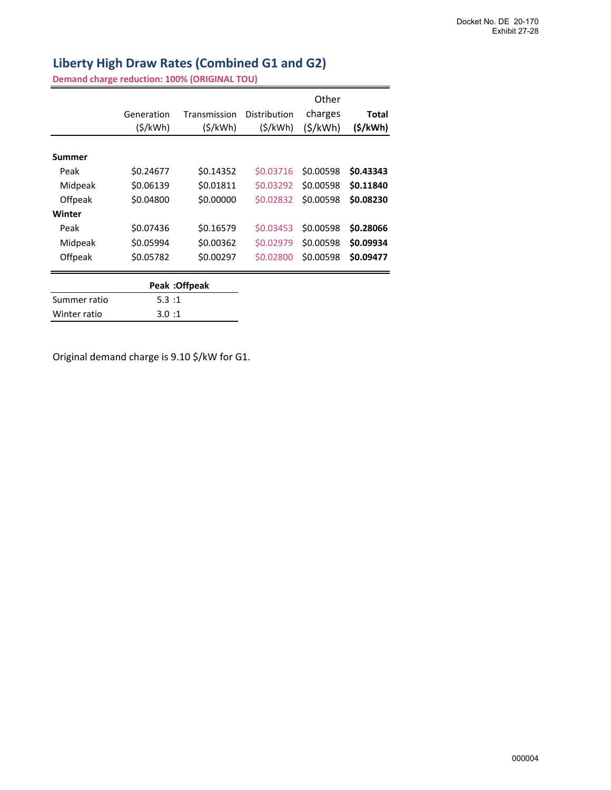# **Liberty High Draw Rates (Combined G1 and G2)**

**Demand charge reduction: 100% (ORIGINAL TOU)**

|                | Generation<br>(S/kWh) | Transmission<br>(S/kWh) | Distribution<br>(S/kWh) | Other<br>charges<br>(S/KWh) | Total<br>(\$/kWh) |
|----------------|-----------------------|-------------------------|-------------------------|-----------------------------|-------------------|
| Summer         |                       |                         |                         |                             |                   |
| Peak           | \$0.24677             | \$0.14352               | \$0.03716               | \$0.00598                   | \$0.43343         |
| Midpeak        | \$0.06139             | \$0.01811               | \$0.03292               | \$0.00598                   | \$0.11840         |
| <b>Offpeak</b> | \$0.04800             | \$0.00000               | \$0.02832               | \$0.00598                   | \$0.08230         |
| Winter         |                       |                         |                         |                             |                   |
| Peak           | \$0.07436             | \$0.16579               | \$0.03453               | \$0.00598                   | \$0.28066         |
| Midpeak        | \$0.05994             | \$0.00362               | \$0.02979               | \$0.00598                   | \$0.09934         |
| Offpeak        | \$0.05782             | \$0.00297               | \$0.02800               | \$0.00598                   | \$0.09477         |
|                |                       | Peak: Offpeak           |                         |                             |                   |

| Summer ratio | 5.3:1 |
|--------------|-------|
| Winter ratio | 3.0:1 |

Original demand charge is 9.10 \$/kW for G1.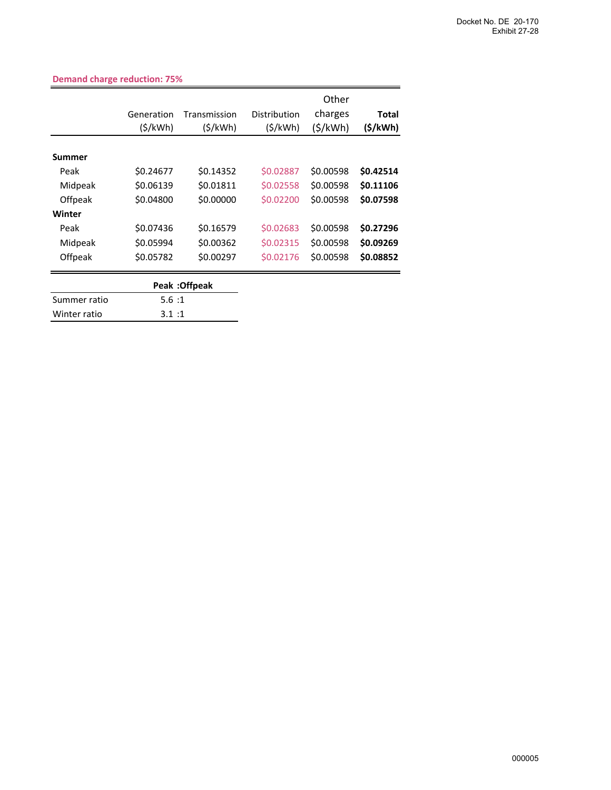| Generation<br>(S/kWh) | Transmission<br>(5/kWh) | Distribution<br>(S/KWh) | Other<br>charges<br>(\$/kWh) | Total<br>(\$/kWh) |
|-----------------------|-------------------------|-------------------------|------------------------------|-------------------|
|                       |                         |                         |                              |                   |
| \$0.24677             | \$0.14352               | \$0.02887               | \$0.00598                    | \$0.42514         |
| \$0.06139             | \$0.01811               | \$0.02558               | \$0.00598                    | \$0.11106         |
| \$0.04800             | \$0.00000               | \$0.02200               | \$0.00598                    | \$0.07598         |
|                       |                         |                         |                              |                   |
| \$0.07436             | \$0.16579               | \$0.02683               | \$0.00598                    | \$0.27296         |
| \$0.05994             | \$0.00362               | \$0.02315               | \$0.00598                    | \$0.09269         |
| \$0.05782             | \$0.00297               | \$0.02176               | \$0.00598                    | \$0.08852         |
|                       |                         |                         |                              |                   |

### **Demand charge reduction: 75%**

|              | Peak : Offpeak |
|--------------|----------------|
| Summer ratio | 5.6:1          |
| Winter ratio | 3.1:1          |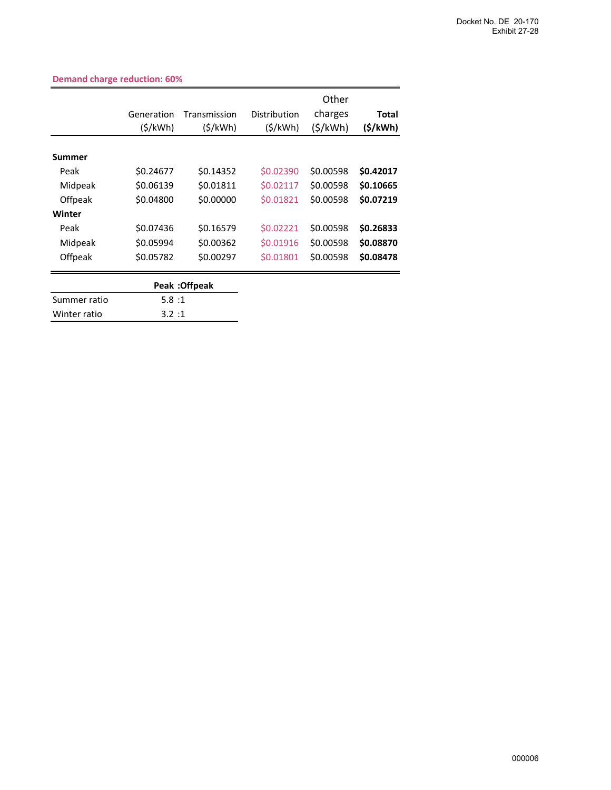|                | Generation<br>(S/kWh) | Transmission<br>(5/kWh) | Distribution<br>(S/KWh) | Other<br>charges<br>(\$/kWh) | <b>Total</b><br>(S/KWh) |
|----------------|-----------------------|-------------------------|-------------------------|------------------------------|-------------------------|
| Summer         |                       |                         |                         |                              |                         |
| Peak           | \$0.24677             | \$0.14352               | \$0.02390               | \$0.00598                    | \$0.42017               |
| Midpeak        | \$0.06139             | \$0.01811               | \$0.02117               | \$0.00598                    | \$0.10665               |
| Offpeak        | \$0.04800             | \$0.00000               | \$0.01821               | \$0.00598                    | \$0.07219               |
| Winter         |                       |                         |                         |                              |                         |
| Peak           | \$0.07436             | \$0.16579               | \$0.02221               | \$0.00598                    | \$0.26833               |
| Midpeak        | \$0.05994             | \$0.00362               | \$0.01916               | \$0.00598                    | \$0.08870               |
| <b>Offpeak</b> | \$0.05782             | \$0.00297               | \$0.01801               | \$0.00598                    | \$0.08478               |
|                |                       |                         |                         |                              |                         |

**Demand charge reduction: 60%**

|              | Peak: Offpeak |
|--------------|---------------|
| Summer ratio | 5.8:1         |
| Winter ratio | 3.2:1         |